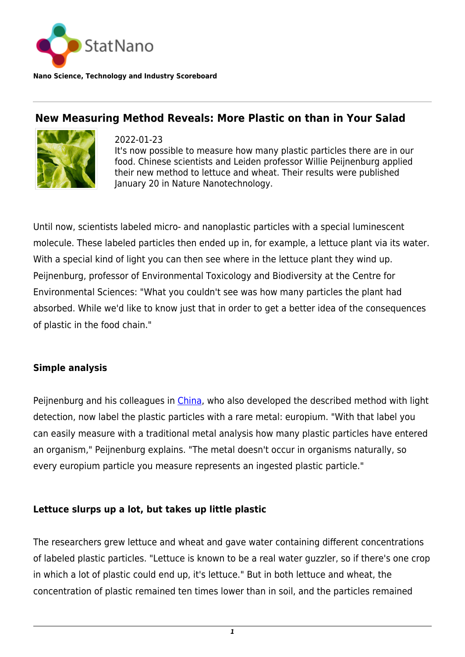

**Nano Science, Technology and Industry Scoreboard**

# **New Measuring Method Reveals: More Plastic on than in Your Salad**



2022-01-23 It's now possible to measure how many plastic particles there are in our food. Chinese scientists and Leiden professor Willie Peijnenburg applied their new method to lettuce and wheat. Their results were published January 20 in Nature Nanotechnology.

Until now, scientists labeled micro- and nanoplastic particles with a special luminescent molecule. These labeled particles then ended up in, for example, a lettuce plant via its water. With a special kind of light you can then see where in the lettuce plant they wind up. Peijnenburg, professor of Environmental Toxicology and Biodiversity at the Centre for Environmental Sciences: "What you couldn't see was how many particles the plant had absorbed. While we'd like to know just that in order to get a better idea of the consequences of plastic in the food chain."

## **Simple analysis**

Peijnenburg and his colleagues in *[China](http://statnano.com/country/China)*, who also developed the described method with light detection, now label the plastic particles with a rare metal: europium. "With that label you can easily measure with a traditional metal analysis how many plastic particles have entered an organism," Peijnenburg explains. "The metal doesn't occur in organisms naturally, so every europium particle you measure represents an ingested plastic particle."

## **Lettuce slurps up a lot, but takes up little plastic**

The researchers grew lettuce and wheat and gave water containing different concentrations of labeled plastic particles. "Lettuce is known to be a real water guzzler, so if there's one crop in which a lot of plastic could end up, it's lettuce." But in both lettuce and wheat, the concentration of plastic remained ten times lower than in soil, and the particles remained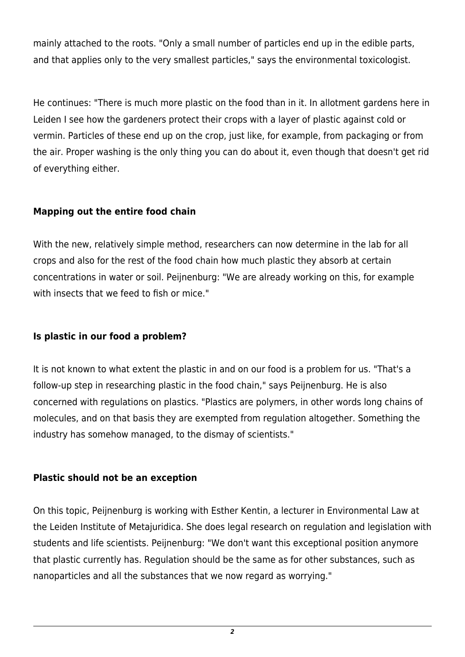mainly attached to the roots. "Only a small number of particles end up in the edible parts, and that applies only to the very smallest particles," says the environmental toxicologist.

He continues: "There is much more plastic on the food than in it. In allotment gardens here in Leiden I see how the gardeners protect their crops with a layer of plastic against cold or vermin. Particles of these end up on the crop, just like, for example, from packaging or from the air. Proper washing is the only thing you can do about it, even though that doesn't get rid of everything either.

## **Mapping out the entire food chain**

With the new, relatively simple method, researchers can now determine in the lab for all crops and also for the rest of the food chain how much plastic they absorb at certain concentrations in water or soil. Peijnenburg: "We are already working on this, for example with insects that we feed to fish or mice."

## **Is plastic in our food a problem?**

It is not known to what extent the plastic in and on our food is a problem for us. "That's a follow-up step in researching plastic in the food chain," says Peijnenburg. He is also concerned with regulations on plastics. "Plastics are polymers, in other words long chains of molecules, and on that basis they are exempted from regulation altogether. Something the industry has somehow managed, to the dismay of scientists."

## **Plastic should not be an exception**

On this topic, Peijnenburg is working with Esther Kentin, a lecturer in Environmental Law at the Leiden Institute of Metajuridica. She does legal research on regulation and legislation with students and life scientists. Peijnenburg: "We don't want this exceptional position anymore that plastic currently has. Regulation should be the same as for other substances, such as nanoparticles and all the substances that we now regard as worrying."